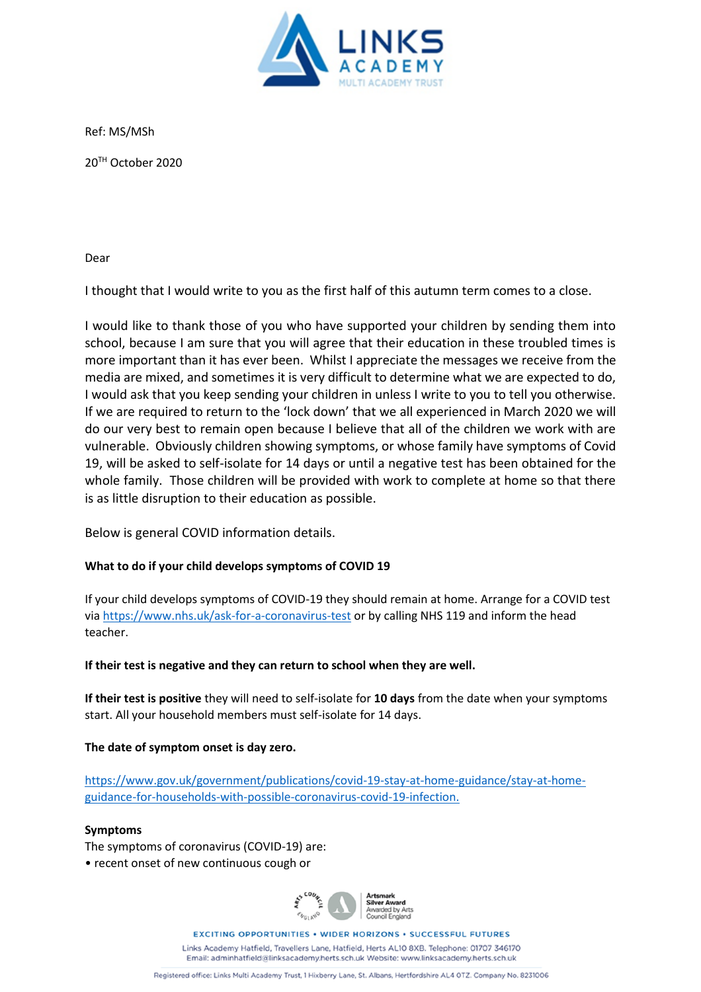

Ref: MS/MSh

20TH October 2020

Dear

I thought that I would write to you as the first half of this autumn term comes to a close.

I would like to thank those of you who have supported your children by sending them into school, because I am sure that you will agree that their education in these troubled times is more important than it has ever been. Whilst I appreciate the messages we receive from the media are mixed, and sometimes it is very difficult to determine what we are expected to do, I would ask that you keep sending your children in unless I write to you to tell you otherwise. If we are required to return to the 'lock down' that we all experienced in March 2020 we will do our very best to remain open because I believe that all of the children we work with are vulnerable. Obviously children showing symptoms, or whose family have symptoms of Covid 19, will be asked to self-isolate for 14 days or until a negative test has been obtained for the whole family. Those children will be provided with work to complete at home so that there is as little disruption to their education as possible.

Below is general COVID information details.

# **What to do if your child develops symptoms of COVID 19**

If your child develops symptoms of COVID-19 they should remain at home. Arrange for a COVID test via<https://www.nhs.uk/ask-for-a-coronavirus-test> or by calling NHS 119 and inform the head teacher.

# **If their test is negative and they can return to school when they are well.**

**If their test is positive** they will need to self-isolate for **10 days** from the date when your symptoms start. All your household members must self-isolate for 14 days.

# **The date of symptom onset is day zero.**

[https://www.gov.uk/government/publications/covid-19-stay-at-home-guidance/stay-at-home](https://www.gov.uk/government/publications/covid-19-stay-at-home-guidance/stay-at-home-guidance-for-households-with-possible-coronavirus-covid-19-infection)[guidance-for-households-with-possible-coronavirus-covid-19-infection.](https://www.gov.uk/government/publications/covid-19-stay-at-home-guidance/stay-at-home-guidance-for-households-with-possible-coronavirus-covid-19-infection)

# **Symptoms**

The symptoms of coronavirus (COVID-19) are:

• recent onset of new continuous cough or



**EXCITING OPPORTUNITIES . WIDER HORIZONS . SUCCESSFUL FUTURES** 

Links Academy Hatfield, Travellers Lane, Hatfield, Herts AL10 8XB, Telephone: 01707 346170 Email: adminhatfield@linksacademy.herts.sch.uk Website: www.linksacademy.herts.sch.uk